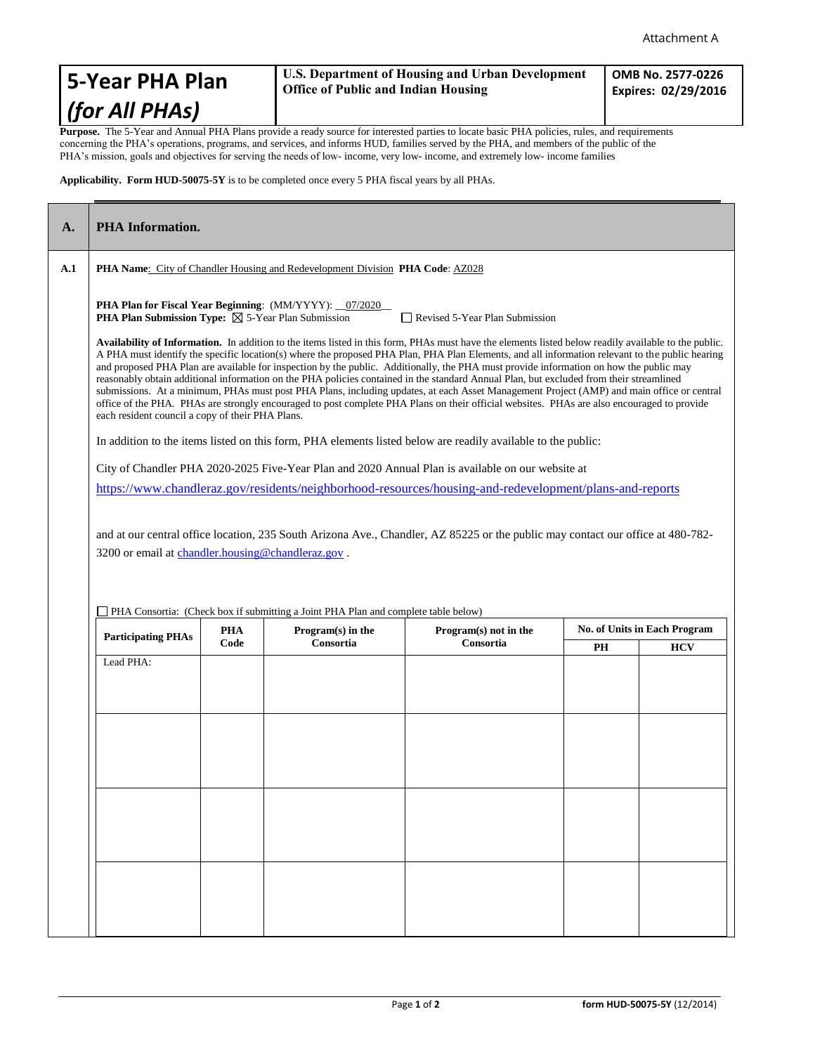## **5-Year PHA Plan** *(for All PHAs)*

## **U.S. Department of Housing and Urban Development Office of Public and Indian Housing**

**OMB No. 2577-0226 Expires: 02/29/2016**

Purpose. The 5-Year and Annual PHA Plans provide a ready source for interested parties to locate basic PHA policies, rules, and requirements concerning the PHA's operations, programs, and services, and informs HUD, families served by the PHA, and members of the public of the PHA's mission, goals and objectives for serving the needs of low- income, very low- income, and extremely low- income families

**Applicability. Form HUD-50075-5Y** is to be completed once every 5 PHA fiscal years by all PHAs.

| A.  | <b>PHA</b> Information.                                                                                                                                                                                                                                                                                                                                                                                                                                                                                                                                                                                                                                                                                                                                                                                                                                                                                                                                                                                                                                                                                                                                          |                    |                                  |                                      |    |            |  |
|-----|------------------------------------------------------------------------------------------------------------------------------------------------------------------------------------------------------------------------------------------------------------------------------------------------------------------------------------------------------------------------------------------------------------------------------------------------------------------------------------------------------------------------------------------------------------------------------------------------------------------------------------------------------------------------------------------------------------------------------------------------------------------------------------------------------------------------------------------------------------------------------------------------------------------------------------------------------------------------------------------------------------------------------------------------------------------------------------------------------------------------------------------------------------------|--------------------|----------------------------------|--------------------------------------|----|------------|--|
| A.1 | <b>PHA Name:</b> City of Chandler Housing and Redevelopment Division <b>PHA Code:</b> AZ028                                                                                                                                                                                                                                                                                                                                                                                                                                                                                                                                                                                                                                                                                                                                                                                                                                                                                                                                                                                                                                                                      |                    |                                  |                                      |    |            |  |
|     | <b>PHA Plan for Fiscal Year Beginning:</b> (MM/YYYY): _07/2020<br><b>PHA Plan Submission Type:</b> $\boxtimes$ 5-Year Plan Submission<br>Revised 5-Year Plan Submission                                                                                                                                                                                                                                                                                                                                                                                                                                                                                                                                                                                                                                                                                                                                                                                                                                                                                                                                                                                          |                    |                                  |                                      |    |            |  |
|     | Availability of Information. In addition to the items listed in this form, PHAs must have the elements listed below readily available to the public.<br>A PHA must identify the specific location(s) where the proposed PHA Plan, PHA Plan Elements, and all information relevant to the public hearing<br>and proposed PHA Plan are available for inspection by the public. Additionally, the PHA must provide information on how the public may<br>reasonably obtain additional information on the PHA policies contained in the standard Annual Plan, but excluded from their streamlined<br>submissions. At a minimum, PHAs must post PHA Plans, including updates, at each Asset Management Project (AMP) and main office or central<br>office of the PHA. PHAs are strongly encouraged to post complete PHA Plans on their official websites. PHAs are also encouraged to provide<br>each resident council a copy of their PHA Plans.<br>In addition to the items listed on this form, PHA elements listed below are readily available to the public:<br>City of Chandler PHA 2020-2025 Five-Year Plan and 2020 Annual Plan is available on our website at |                    |                                  |                                      |    |            |  |
|     |                                                                                                                                                                                                                                                                                                                                                                                                                                                                                                                                                                                                                                                                                                                                                                                                                                                                                                                                                                                                                                                                                                                                                                  |                    |                                  |                                      |    |            |  |
|     |                                                                                                                                                                                                                                                                                                                                                                                                                                                                                                                                                                                                                                                                                                                                                                                                                                                                                                                                                                                                                                                                                                                                                                  |                    |                                  |                                      |    |            |  |
|     | https://www.chandleraz.gov/residents/neighborhood-resources/housing-and-redevelopment/plans-and-reports                                                                                                                                                                                                                                                                                                                                                                                                                                                                                                                                                                                                                                                                                                                                                                                                                                                                                                                                                                                                                                                          |                    |                                  |                                      |    |            |  |
|     |                                                                                                                                                                                                                                                                                                                                                                                                                                                                                                                                                                                                                                                                                                                                                                                                                                                                                                                                                                                                                                                                                                                                                                  |                    |                                  |                                      |    |            |  |
|     | and at our central office location, 235 South Arizona Ave., Chandler, AZ 85225 or the public may contact our office at 480-782-                                                                                                                                                                                                                                                                                                                                                                                                                                                                                                                                                                                                                                                                                                                                                                                                                                                                                                                                                                                                                                  |                    |                                  |                                      |    |            |  |
|     | 3200 or email at chandler.housing@chandleraz.gov.                                                                                                                                                                                                                                                                                                                                                                                                                                                                                                                                                                                                                                                                                                                                                                                                                                                                                                                                                                                                                                                                                                                |                    |                                  |                                      |    |            |  |
|     |                                                                                                                                                                                                                                                                                                                                                                                                                                                                                                                                                                                                                                                                                                                                                                                                                                                                                                                                                                                                                                                                                                                                                                  |                    |                                  |                                      |    |            |  |
|     |                                                                                                                                                                                                                                                                                                                                                                                                                                                                                                                                                                                                                                                                                                                                                                                                                                                                                                                                                                                                                                                                                                                                                                  |                    |                                  |                                      |    |            |  |
|     | PHA Consortia: (Check box if submitting a Joint PHA Plan and complete table below)<br>No. of Units in Each Program                                                                                                                                                                                                                                                                                                                                                                                                                                                                                                                                                                                                                                                                                                                                                                                                                                                                                                                                                                                                                                               |                    |                                  |                                      |    |            |  |
|     | <b>Participating PHAs</b>                                                                                                                                                                                                                                                                                                                                                                                                                                                                                                                                                                                                                                                                                                                                                                                                                                                                                                                                                                                                                                                                                                                                        | <b>PHA</b><br>Code | $Program(s)$ in the<br>Consortia | $Program(s)$ not in the<br>Consortia | PH | <b>HCV</b> |  |
|     | Lead PHA:                                                                                                                                                                                                                                                                                                                                                                                                                                                                                                                                                                                                                                                                                                                                                                                                                                                                                                                                                                                                                                                                                                                                                        |                    |                                  |                                      |    |            |  |
|     |                                                                                                                                                                                                                                                                                                                                                                                                                                                                                                                                                                                                                                                                                                                                                                                                                                                                                                                                                                                                                                                                                                                                                                  |                    |                                  |                                      |    |            |  |
|     |                                                                                                                                                                                                                                                                                                                                                                                                                                                                                                                                                                                                                                                                                                                                                                                                                                                                                                                                                                                                                                                                                                                                                                  |                    |                                  |                                      |    |            |  |
|     |                                                                                                                                                                                                                                                                                                                                                                                                                                                                                                                                                                                                                                                                                                                                                                                                                                                                                                                                                                                                                                                                                                                                                                  |                    |                                  |                                      |    |            |  |
|     |                                                                                                                                                                                                                                                                                                                                                                                                                                                                                                                                                                                                                                                                                                                                                                                                                                                                                                                                                                                                                                                                                                                                                                  |                    |                                  |                                      |    |            |  |
|     |                                                                                                                                                                                                                                                                                                                                                                                                                                                                                                                                                                                                                                                                                                                                                                                                                                                                                                                                                                                                                                                                                                                                                                  |                    |                                  |                                      |    |            |  |
|     |                                                                                                                                                                                                                                                                                                                                                                                                                                                                                                                                                                                                                                                                                                                                                                                                                                                                                                                                                                                                                                                                                                                                                                  |                    |                                  |                                      |    |            |  |
|     |                                                                                                                                                                                                                                                                                                                                                                                                                                                                                                                                                                                                                                                                                                                                                                                                                                                                                                                                                                                                                                                                                                                                                                  |                    |                                  |                                      |    |            |  |
|     |                                                                                                                                                                                                                                                                                                                                                                                                                                                                                                                                                                                                                                                                                                                                                                                                                                                                                                                                                                                                                                                                                                                                                                  |                    |                                  |                                      |    |            |  |
|     |                                                                                                                                                                                                                                                                                                                                                                                                                                                                                                                                                                                                                                                                                                                                                                                                                                                                                                                                                                                                                                                                                                                                                                  |                    |                                  |                                      |    |            |  |
|     |                                                                                                                                                                                                                                                                                                                                                                                                                                                                                                                                                                                                                                                                                                                                                                                                                                                                                                                                                                                                                                                                                                                                                                  |                    |                                  |                                      |    |            |  |
|     |                                                                                                                                                                                                                                                                                                                                                                                                                                                                                                                                                                                                                                                                                                                                                                                                                                                                                                                                                                                                                                                                                                                                                                  |                    |                                  |                                      |    |            |  |
|     |                                                                                                                                                                                                                                                                                                                                                                                                                                                                                                                                                                                                                                                                                                                                                                                                                                                                                                                                                                                                                                                                                                                                                                  |                    |                                  |                                      |    |            |  |